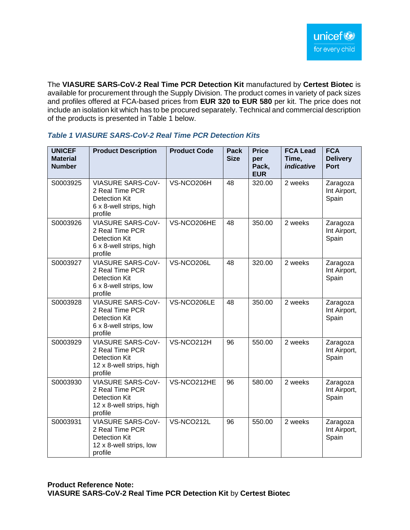The **VIASURE SARS-CoV-2 Real Time PCR Detection Kit** manufactured by **Certest Biotec** is available for procurement through the Supply Division. The product comes in variety of pack sizes and profiles offered at FCA-based prices from **EUR 320 to EUR 580** per kit. The price does not include an isolation kit which has to be procured separately. Technical and commercial description of the products is presented in Table 1 below.

| <b>UNICEF</b><br><b>Material</b><br><b>Number</b> | <b>Product Description</b>                                                                                 | <b>Product Code</b> | <b>Pack</b><br><b>Size</b> | <b>Price</b><br>per<br>Pack,<br><b>EUR</b> | <b>FCA Lead</b><br>Time,<br>indicative | <b>FCA</b><br><b>Delivery</b><br><b>Port</b> |
|---------------------------------------------------|------------------------------------------------------------------------------------------------------------|---------------------|----------------------------|--------------------------------------------|----------------------------------------|----------------------------------------------|
| S0003925                                          | <b>VIASURE SARS-CoV-</b><br>2 Real Time PCR<br><b>Detection Kit</b><br>6 x 8-well strips, high<br>profile  | VS-NCO206H          | 48                         | 320.00                                     | 2 weeks                                | Zaragoza<br>Int Airport,<br>Spain            |
| S0003926                                          | <b>VIASURE SARS-CoV-</b><br>2 Real Time PCR<br><b>Detection Kit</b><br>6 x 8-well strips, high<br>profile  | VS-NCO206HE         | 48                         | 350.00                                     | 2 weeks                                | Zaragoza<br>Int Airport,<br>Spain            |
| S0003927                                          | <b>VIASURE SARS-CoV-</b><br>2 Real Time PCR<br><b>Detection Kit</b><br>6 x 8-well strips, low<br>profile   | VS-NCO206L          | 48                         | 320.00                                     | 2 weeks                                | Zaragoza<br>Int Airport,<br>Spain            |
| S0003928                                          | <b>VIASURE SARS-CoV-</b><br>2 Real Time PCR<br><b>Detection Kit</b><br>6 x 8-well strips, low<br>profile   | VS-NCO206LE         | 48                         | 350.00                                     | 2 weeks                                | Zaragoza<br>Int Airport,<br>Spain            |
| S0003929                                          | <b>VIASURE SARS-CoV-</b><br>2 Real Time PCR<br><b>Detection Kit</b><br>12 x 8-well strips, high<br>profile | VS-NCO212H          | 96                         | 550.00                                     | 2 weeks                                | Zaragoza<br>Int Airport,<br>Spain            |
| S0003930                                          | <b>VIASURE SARS-CoV-</b><br>2 Real Time PCR<br><b>Detection Kit</b><br>12 x 8-well strips, high<br>profile | VS-NCO212HE         | 96                         | 580.00                                     | 2 weeks                                | Zaragoza<br>Int Airport,<br>Spain            |
| S0003931                                          | <b>VIASURE SARS-CoV-</b><br>2 Real Time PCR<br>Detection Kit<br>12 x 8-well strips, low<br>profile         | VS-NCO212L          | 96                         | 550.00                                     | 2 weeks                                | Zaragoza<br>Int Airport,<br>Spain            |

#### *Table 1 VIASURE SARS-CoV-2 Real Time PCR Detection Kits*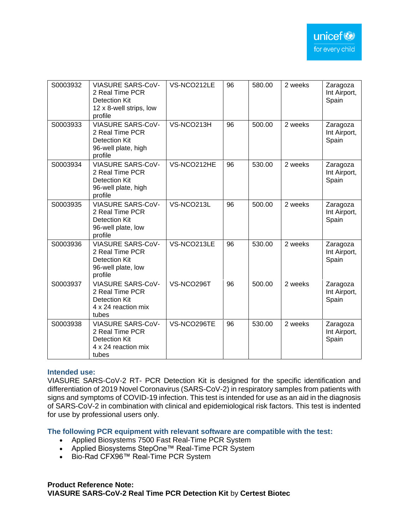| S0003932 | <b>VIASURE SARS-CoV-</b><br>2 Real Time PCR<br>Detection Kit<br>12 x 8-well strips, low<br>profile  | VS-NCO212LE | 96 | 580.00 | 2 weeks | Zaragoza<br>Int Airport,<br>Spain |
|----------|-----------------------------------------------------------------------------------------------------|-------------|----|--------|---------|-----------------------------------|
| S0003933 | <b>VIASURE SARS-CoV-</b><br>2 Real Time PCR<br>Detection Kit<br>96-well plate, high<br>profile      | VS-NCO213H  | 96 | 500.00 | 2 weeks | Zaragoza<br>Int Airport,<br>Spain |
| S0003934 | <b>VIASURE SARS-CoV-</b><br>2 Real Time PCR<br>Detection Kit<br>96-well plate, high<br>profile      | VS-NCO212HE | 96 | 530.00 | 2 weeks | Zaragoza<br>Int Airport,<br>Spain |
| S0003935 | <b>VIASURE SARS-CoV-</b><br>2 Real Time PCR<br>Detection Kit<br>96-well plate, low<br>profile       | VS-NCO213L  | 96 | 500.00 | 2 weeks | Zaragoza<br>Int Airport,<br>Spain |
| S0003936 | <b>VIASURE SARS-CoV-</b><br>2 Real Time PCR<br>Detection Kit<br>96-well plate, low<br>profile       | VS-NCO213LE | 96 | 530.00 | 2 weeks | Zaragoza<br>Int Airport,<br>Spain |
| S0003937 | <b>VIASURE SARS-CoV-</b><br>2 Real Time PCR<br><b>Detection Kit</b><br>4 x 24 reaction mix<br>tubes | VS-NCO296T  | 96 | 500.00 | 2 weeks | Zaragoza<br>Int Airport,<br>Spain |
| S0003938 | <b>VIASURE SARS-CoV-</b><br>2 Real Time PCR<br>Detection Kit<br>4 x 24 reaction mix<br>tubes        | VS-NCO296TE | 96 | 530.00 | 2 weeks | Zaragoza<br>Int Airport,<br>Spain |

## **Intended use:**

VIASURE SARS-CoV-2 RT- PCR Detection Kit is designed for the specific identification and differentiation of 2019 Novel Coronavirus (SARS-CoV-2) in respiratory samples from patients with signs and symptoms of COVID-19 infection. This test is intended for use as an aid in the diagnosis of SARS-CoV-2 in combination with clinical and epidemiological risk factors. This test is indented for use by professional users only.

**The following PCR equipment with relevant software are compatible with the test:**

- Applied Biosystems 7500 Fast Real-Time PCR System
- Applied Biosystems StepOne™ Real-Time PCR System
- Bio-Rad CFX96™ Real-Time PCR System